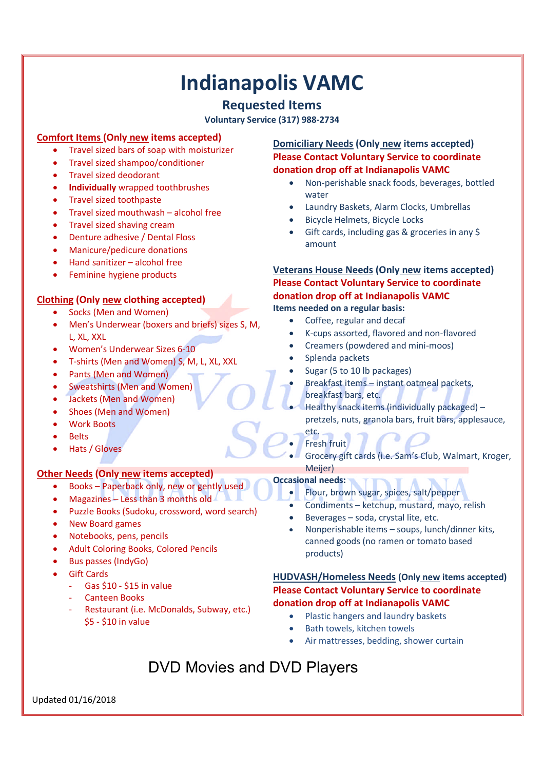# **Indianapolis VAMC**

# **Requested Items**

**Voluntary Service (317) 988-2734**

## **Comfort Items (Only new items accepted)**

- Travel sized bars of soap with moisturizer
- Travel sized shampoo/conditioner
- Travel sized deodorant
- **Individually** wrapped toothbrushes
- Travel sized toothpaste
- Travel sized mouthwash alcohol free
- Travel sized shaving cream
- Denture adhesive / Dental Floss
- Manicure/pedicure donations
- Hand sanitizer alcohol free
- Feminine hygiene products

# **Clothing (Only new clothing accepted)**

- Socks (Men and Women)
- Men's Underwear (boxers and briefs) sizes S, M, L, XL, XXL
- Women's Underwear Sizes 6-10
- T-shirts (Men and Women) S, M, L, XL, XXL
- Pants (Men and Women)
- Sweatshirts (Men and Women)
- Jackets (Men and Women)
- Shoes (Men and Women)
- Work Boots
- **Belts**
- Hats / Gloves

### **Other Needs (Only new items accepted)**

- Books Paperback only, new or gently used
- Magazines Less than 3 months old
- Puzzle Books (Sudoku, crossword, word search)
- New Board games
- Notebooks, pens, pencils
- Adult Coloring Books, Colored Pencils
- Bus passes (IndyGo)
- Gift Cards
	- Gas \$10 \$15 in value
	- Canteen Books
	- Restaurant (i.e. McDonalds, Subway, etc.) \$5 - \$10 in value

**Domiciliary Needs (Only new items accepted) Please Contact Voluntary Service to coordinate donation drop off at Indianapolis VAMC**

- Non-perishable snack foods, beverages, bottled water
- Laundry Baskets, Alarm Clocks, Umbrellas
- Bicycle Helmets, Bicycle Locks
- Gift cards, including gas & groceries in any \$ amount

**Veterans House Needs (Only new items accepted) Please Contact Voluntary Service to coordinate donation drop off at Indianapolis VAMC Items needed on a regular basis:**

- Coffee, regular and decaf
- K-cups assorted, flavored and non-flavored
- Creamers (powdered and mini-moos)
- Splenda packets
- Sugar (5 to 10 lb packages)
	- Breakfast items instant oatmeal packets, breakfast bars, etc.
- Healthy snack items (individually packaged) pretzels, nuts, granola bars, fruit bars, applesauce,
- etc. Fresh fruit
- Grocery gift cards (i.e. Sam's Club, Walmart, Kroger, Meijer)

### **Occasional needs:**

- Flour, brown sugar, spices, salt/pepper
- Condiments ketchup, mustard, mayo, relish
- Beverages soda, crystal lite, etc.
- Nonperishable items soups, lunch/dinner kits, canned goods (no ramen or tomato based products)

### **HUDVASH/Homeless Needs (Only new items accepted) Please Contact Voluntary Service to coordinate donation drop off at Indianapolis VAMC**

- Plastic hangers and laundry baskets
- Bath towels, kitchen towels
- Air mattresses, bedding, shower curtain

# DVD Movies and DVD Players

Updated 01/16/2018